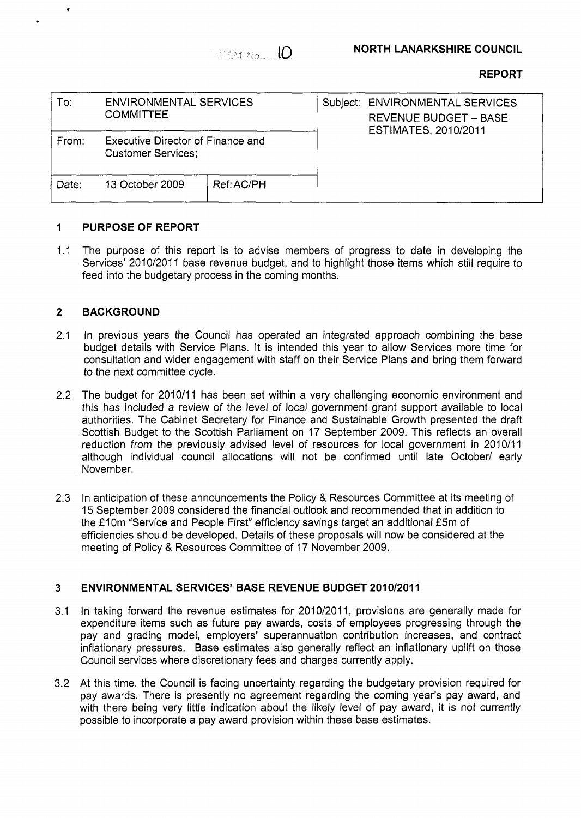

# **REPORT**

| To:   | <b>ENVIRONMENTAL SERVICES</b><br><b>COMMITTEE</b>              |            | Subject: ENVIRONMENTAL SERVICES<br><b>REVENUE BUDGET - BASE</b><br><b>ESTIMATES, 2010/2011</b> |  |
|-------|----------------------------------------------------------------|------------|------------------------------------------------------------------------------------------------|--|
| From: | Executive Director of Finance and<br><b>Customer Services;</b> |            |                                                                                                |  |
| Date: | 13 October 2009                                                | Ref: AC/PH |                                                                                                |  |

### **1 PURPOSE OF REPORT**

 $1.1$ The purpose of this report is to advise members of progress to date in developing the Services' 2010/2011 base revenue budget, and to highlight those items which still require to feed into the budgetary process in the coming months.

### **2 BACKGROUND**

**t** 

- 2.1 In previous years the Council has operated an integrated approach combining the base budget details with Service Plans. It is intended this year to allow Services more time for consultation and wider engagement with staff on their Service Plans and bring them forward to the next committee cycle.
- 2.2 The budget for 2010/11 has been set within a very challenging economic environment and this has included a review of the level of local government grant support available to local authorities. The Cabinet Secretary for Finance and Sustainable Growth presented the draft Scottish Budget to the Scottish Parliament on 17 September 2009. This reflects an overall reduction from the previously advised level of resources for local government in 2010/11 although individual council allocations will not be confirmed until late October/ early November.
- 2.3 In anticipation of these announcements the Policy & Resources Committee at its meeting of 15 September 2009 considered the financial outlook and recommended that in addition to the £10m "Service and People First" efficiency savings target an additional £5m of efficiencies should be developed. Details of these proposals will now be considered at the meeting of Policy & Resources Committee of 17 November 2009.

### **3 ENVIRONMENTAL SERVICES' BASE REVENUE BUDGET 201 0/2011**

- 3.1 In taking forward the revenue estimates for 2010/2011, provisions are generally made for expenditure items such as future pay awards, costs of employees progressing through the pay and grading model, employers' superannuation contribution increases, and contract inflationary pressures. Base estimates also generally reflect an inflationary uplift on those Council services where discretionary fees and charges currently apply.
- 3.2 At this time, the Council is facing uncertainty regarding the budgetary provision required for pay awards. There is presently no agreement regarding the coming year's pay award, and with there being very little indication about the likely level of pay award, it is not currently possible to incorporate a pay award provision within these base estimates.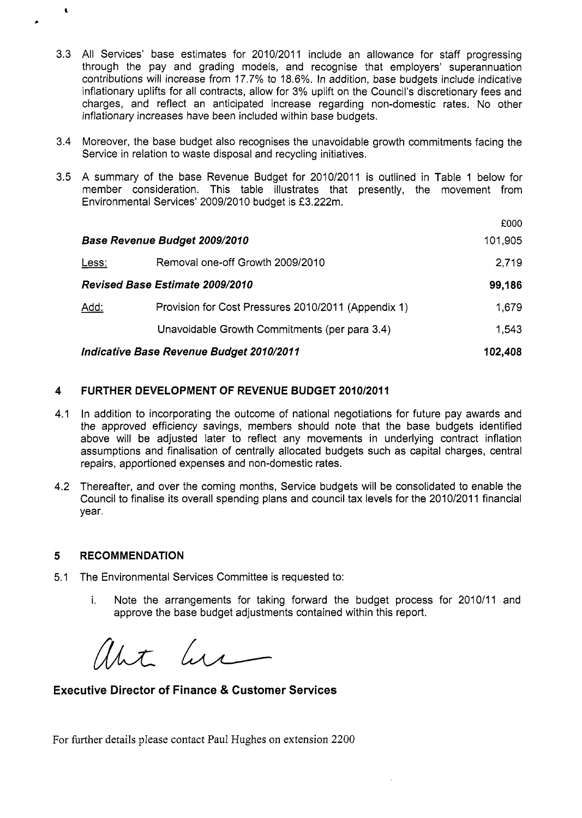- 3.3 All Services' base estimates for 2010/2011 include an allowance for staff progressing through the pay and grading models, and recognise that employers' superannuation contributions will increase from 17.7% to 18.6%. In addition, base budgets include indicative inflationary uplifts for all contracts, allow for 3% uplift on the Council's discretionary fees and charges, and reflect an anticipated increase regarding non-domestic rates. No other inflationary increases have been included within base budgets.
- 3.4 Moreover, the base budget also recognises the unavoidable growth commitments facing the Service in relation to waste disposal and recycling initiatives.
- 3.5 A summary of the base Revenue Budget for 2010/2011 is outlined in Table 1 below for member consideration. This table illustrates that presently, the movement from Environmental Services' 2009/2010 budget is **f** 3.222m.

|                                          |                                                     | £000    |
|------------------------------------------|-----------------------------------------------------|---------|
| Base Revenue Budget 2009/2010            |                                                     | 101,905 |
| Less:                                    | Removal one-off Growth 2009/2010                    | 2.719   |
|                                          | <b>Revised Base Estimate 2009/2010</b>              | 99,186  |
| Add:                                     | Provision for Cost Pressures 2010/2011 (Appendix 1) | 1,679   |
|                                          | Unavoidable Growth Commitments (per para 3.4)       | 1,543   |
| Indicative Base Revenue Budget 2010/2011 |                                                     | 102,408 |

## **4 FURTHER DEVELOPMENT OF REVENUE BUDGET 2010/2011**

- 4.1 In addition to incorporating the outcome of national negotiations for future pay awards and the approved efficiency savings, members should note that the base budgets identified above will be adjusted later to reflect any movements in underlying contract inflation assumptions and finalisation of centrally allocated budgets such as capital charges, central repairs, apportioned expenses and non-domestic rates.
- 4.2 Thereafter, and over the coming months, Service budgets will be consolidated to enable the Council to finalise its overall spending plans and council tax levels for the 2010/2011 financial year.

### **5 RECOMMENDATION**

*8* 

**c** 

- 5.1 The Environmental Services Committee is requested to:
	- i. Note the arrangements for taking forward the budget process for 2010/11 and approve the base budget adjustments contained within this report.

That here

**Executive Director of Finance** & **Customer Services** 

For further details please contact Paul Hughes on extension 2200